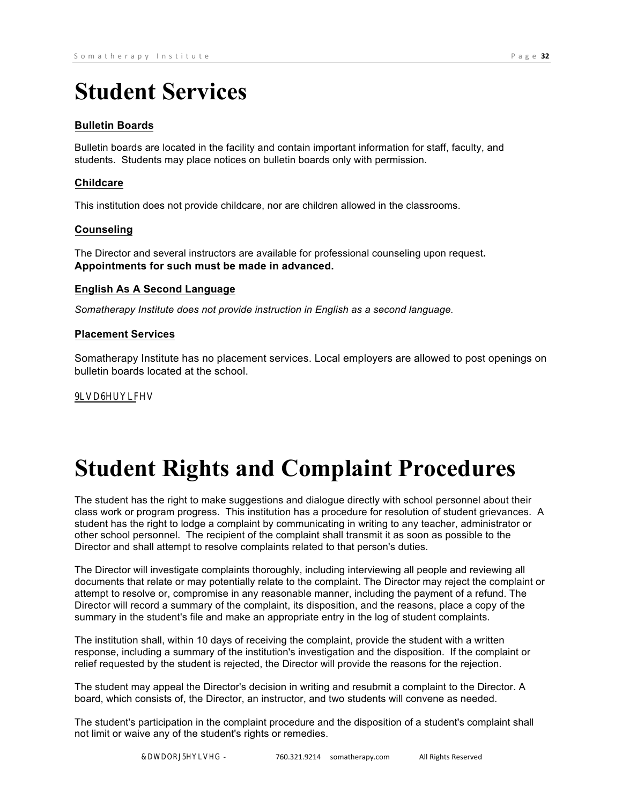## **Student Services**

## **Bulletin Boards**

Bulletin boards are located in the facility and contain important information for staff, faculty, and students. Students may place notices on bulletin boards only with permission.

## **Childcare**

This institution does not provide childcare, nor are children allowed in the classrooms.

## **Counseling**

The Director and several instructors are available for professional counseling upon request**. Appointments for such must be made in advanced.**

## **English As A Second Language**

*Somatherapy Institute does not provide instruction in English as a second language.*

### **Placement Services**

Somatherapy Institute has no placement services. Local employers are allowed to post openings on bulletin boards located at the school.

### 9LVD6HUYLFHV

Somatherapy Institute does not provide any type of student visa services, nor does it vouch for the immigration status of any student's relationship with the United States Government.

# **Student Rights and Complaint Procedures**

The student has the right to make suggestions and dialogue directly with school personnel about their class work or program progress. This institution has a procedure for resolution of student grievances. A student has the right to lodge a complaint by communicating in writing to any teacher, administrator or other school personnel. The recipient of the complaint shall transmit it as soon as possible to the Director and shall attempt to resolve complaints related to that person's duties.

The Director will investigate complaints thoroughly, including interviewing all people and reviewing all documents that relate or may potentially relate to the complaint. The Director may reject the complaint or attempt to resolve or, compromise in any reasonable manner, including the payment of a refund. The Director will record a summary of the complaint, its disposition, and the reasons, place a copy of the summary in the student's file and make an appropriate entry in the log of student complaints.

The institution shall, within 10 days of receiving the complaint, provide the student with a written response, including a summary of the institution's investigation and the disposition. If the complaint or relief requested by the student is rejected, the Director will provide the reasons for the rejection.

The student may appeal the Director's decision in writing and resubmit a complaint to the Director. A board, which consists of, the Director, an instructor, and two students will convene as needed.

The student's participation in the complaint procedure and the disposition of a student's complaint shall not limit or waive any of the student's rights or remedies.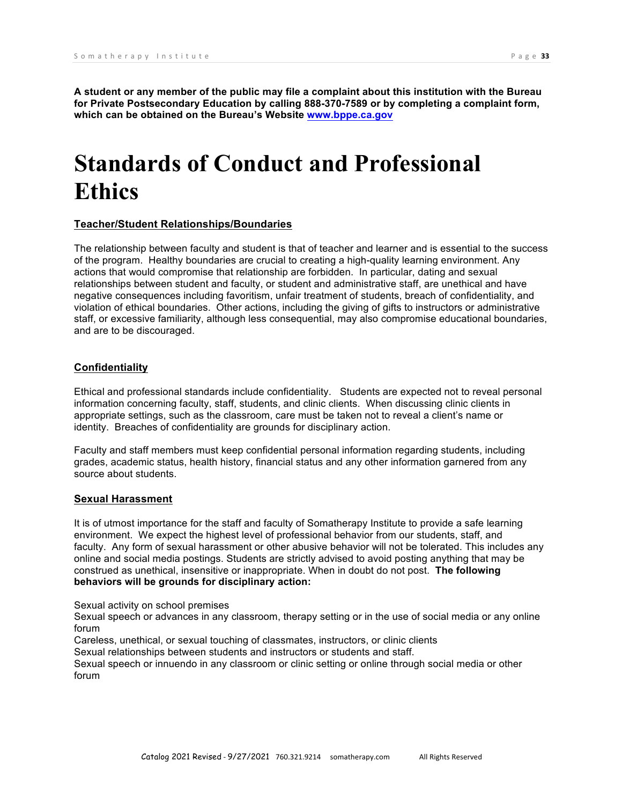**A student or any member of the public may file a complaint about this institution with the Bureau for Private Postsecondary Education by calling 888-370-7589 or by completing a complaint form, which can be obtained on the Bureau's Website www.bppe.ca.gov**

## **Standards of Conduct and Professional Ethics**

#### **Teacher/Student Relationships/Boundaries**

The relationship between faculty and student is that of teacher and learner and is essential to the success of the program. Healthy boundaries are crucial to creating a high-quality learning environment. Any actions that would compromise that relationship are forbidden. In particular, dating and sexual relationships between student and faculty, or student and administrative staff, are unethical and have negative consequences including favoritism, unfair treatment of students, breach of confidentiality, and violation of ethical boundaries. Other actions, including the giving of gifts to instructors or administrative staff, or excessive familiarity, although less consequential, may also compromise educational boundaries, and are to be discouraged.

#### **Confidentiality**

Ethical and professional standards include confidentiality. Students are expected not to reveal personal information concerning faculty, staff, students, and clinic clients. When discussing clinic clients in appropriate settings, such as the classroom, care must be taken not to reveal a client's name or identity. Breaches of confidentiality are grounds for disciplinary action.

Faculty and staff members must keep confidential personal information regarding students, including grades, academic status, health history, financial status and any other information garnered from any source about students.

#### **Sexual Harassment**

It is of utmost importance for the staff and faculty of Somatherapy Institute to provide a safe learning environment. We expect the highest level of professional behavior from our students, staff, and faculty. Any form of sexual harassment or other abusive behavior will not be tolerated. This includes any online and social media postings. Students are strictly advised to avoid posting anything that may be construed as unethical, insensitive or inappropriate. When in doubt do not post. **The following behaviors will be grounds for disciplinary action:**

Sexual activity on school premises

Sexual speech or advances in any classroom, therapy setting or in the use of social media or any online forum

Careless, unethical, or sexual touching of classmates, instructors, or clinic clients

Sexual relationships between students and instructors or students and staff.

Sexual speech or innuendo in any classroom or clinic setting or online through social media or other forum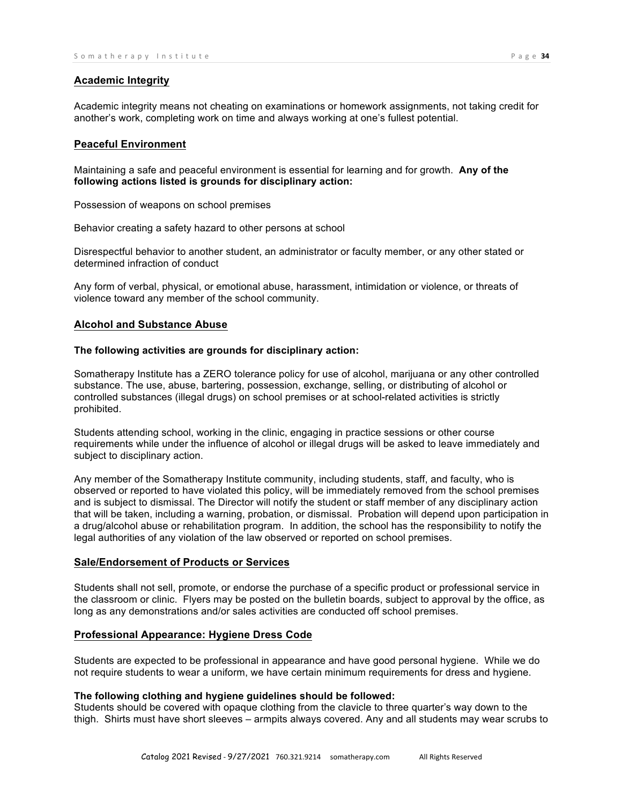#### **Academic Integrity**

Academic integrity means not cheating on examinations or homework assignments, not taking credit for another's work, completing work on time and always working at one's fullest potential.

#### **Peaceful Environment**

Maintaining a safe and peaceful environment is essential for learning and for growth. **Any of the following actions listed is grounds for disciplinary action:**

Possession of weapons on school premises

Behavior creating a safety hazard to other persons at school

Disrespectful behavior to another student, an administrator or faculty member, or any other stated or determined infraction of conduct

Any form of verbal, physical, or emotional abuse, harassment, intimidation or violence, or threats of violence toward any member of the school community.

#### **Alcohol and Substance Abuse**

#### **The following activities are grounds for disciplinary action:**

Somatherapy Institute has a ZERO tolerance policy for use of alcohol, marijuana or any other controlled substance. The use, abuse, bartering, possession, exchange, selling, or distributing of alcohol or controlled substances (illegal drugs) on school premises or at school-related activities is strictly prohibited.

Students attending school, working in the clinic, engaging in practice sessions or other course requirements while under the influence of alcohol or illegal drugs will be asked to leave immediately and subject to disciplinary action.

Any member of the Somatherapy Institute community, including students, staff, and faculty, who is observed or reported to have violated this policy, will be immediately removed from the school premises and is subject to dismissal. The Director will notify the student or staff member of any disciplinary action that will be taken, including a warning, probation, or dismissal. Probation will depend upon participation in a drug/alcohol abuse or rehabilitation program. In addition, the school has the responsibility to notify the legal authorities of any violation of the law observed or reported on school premises.

#### **Sale/Endorsement of Products or Services**

Students shall not sell, promote, or endorse the purchase of a specific product or professional service in the classroom or clinic. Flyers may be posted on the bulletin boards, subject to approval by the office, as long as any demonstrations and/or sales activities are conducted off school premises.

#### **Professional Appearance: Hygiene Dress Code**

Students are expected to be professional in appearance and have good personal hygiene. While we do not require students to wear a uniform, we have certain minimum requirements for dress and hygiene.

## **The following clothing and hygiene guidelines should be followed:**

Students should be covered with opaque clothing from the clavicle to three quarter's way down to the thigh. Shirts must have short sleeves – armpits always covered. Any and all students may wear scrubs to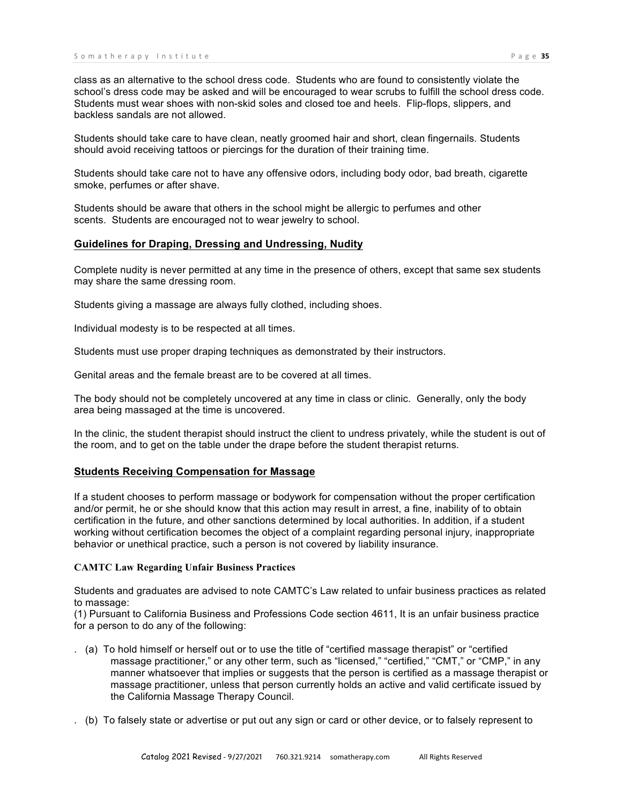class as an alternative to the school dress code. Students who are found to consistently violate the school's dress code may be asked and will be encouraged to wear scrubs to fulfill the school dress code. Students must wear shoes with non-skid soles and closed toe and heels. Flip-flops, slippers, and backless sandals are not allowed.

Students should take care to have clean, neatly groomed hair and short, clean fingernails. Students should avoid receiving tattoos or piercings for the duration of their training time.

Students should take care not to have any offensive odors, including body odor, bad breath, cigarette smoke, perfumes or after shave.

Students should be aware that others in the school might be allergic to perfumes and other scents. Students are encouraged not to wear jewelry to school.

#### **Guidelines for Draping, Dressing and Undressing, Nudity**

Complete nudity is never permitted at any time in the presence of others, except that same sex students may share the same dressing room.

Students giving a massage are always fully clothed, including shoes.

Individual modesty is to be respected at all times.

Students must use proper draping techniques as demonstrated by their instructors.

Genital areas and the female breast are to be covered at all times.

The body should not be completely uncovered at any time in class or clinic. Generally, only the body area being massaged at the time is uncovered.

In the clinic, the student therapist should instruct the client to undress privately, while the student is out of the room, and to get on the table under the drape before the student therapist returns.

#### **Students Receiving Compensation for Massage**

If a student chooses to perform massage or bodywork for compensation without the proper certification and/or permit, he or she should know that this action may result in arrest, a fine, inability of to obtain certification in the future, and other sanctions determined by local authorities. In addition, if a student working without certification becomes the object of a complaint regarding personal injury, inappropriate behavior or unethical practice, such a person is not covered by liability insurance.

#### **CAMTC Law Regarding Unfair Business Practices**

Students and graduates are advised to note CAMTC's Law related to unfair business practices as related to massage:

(1) Pursuant to California Business and Professions Code section 4611, It is an unfair business practice for a person to do any of the following:

- . (a) To hold himself or herself out or to use the title of "certified massage therapist" or "certified massage practitioner," or any other term, such as "licensed," "certified," "CMT," or "CMP," in any manner whatsoever that implies or suggests that the person is certified as a massage therapist or massage practitioner, unless that person currently holds an active and valid certificate issued by the California Massage Therapy Council.
- . (b) To falsely state or advertise or put out any sign or card or other device, or to falsely represent to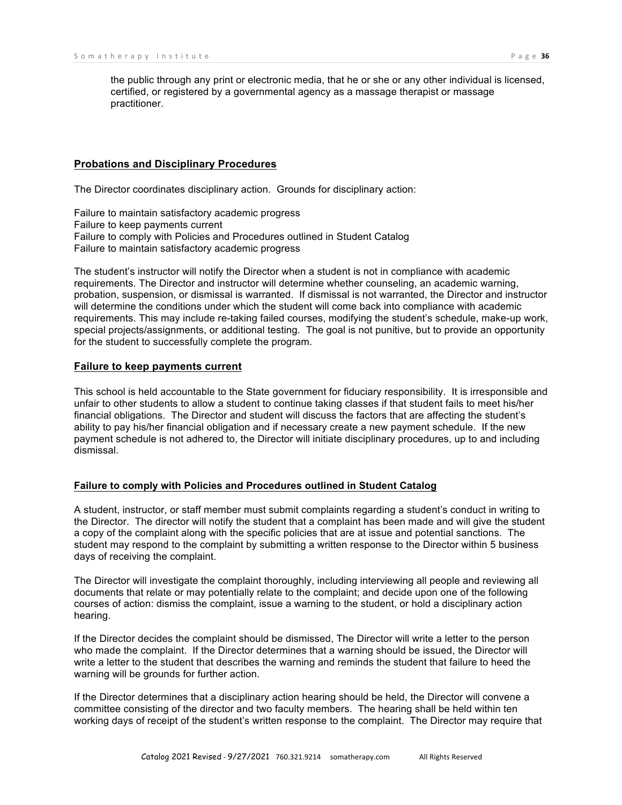the public through any print or electronic media, that he or she or any other individual is licensed, certified, or registered by a governmental agency as a massage therapist or massage practitioner.

#### **Probations and Disciplinary Procedures**

The Director coordinates disciplinary action. Grounds for disciplinary action:

Failure to maintain satisfactory academic progress Failure to keep payments current Failure to comply with Policies and Procedures outlined in Student Catalog Failure to maintain satisfactory academic progress

The student's instructor will notify the Director when a student is not in compliance with academic requirements. The Director and instructor will determine whether counseling, an academic warning, probation, suspension, or dismissal is warranted. If dismissal is not warranted, the Director and instructor will determine the conditions under which the student will come back into compliance with academic requirements. This may include re-taking failed courses, modifying the student's schedule, make-up work, special projects/assignments, or additional testing. The goal is not punitive, but to provide an opportunity for the student to successfully complete the program.

#### **Failure to keep payments current**

This school is held accountable to the State government for fiduciary responsibility. It is irresponsible and unfair to other students to allow a student to continue taking classes if that student fails to meet his/her financial obligations. The Director and student will discuss the factors that are affecting the student's ability to pay his/her financial obligation and if necessary create a new payment schedule. If the new payment schedule is not adhered to, the Director will initiate disciplinary procedures, up to and including dismissal.

#### **Failure to comply with Policies and Procedures outlined in Student Catalog**

A student, instructor, or staff member must submit complaints regarding a student's conduct in writing to the Director. The director will notify the student that a complaint has been made and will give the student a copy of the complaint along with the specific policies that are at issue and potential sanctions. The student may respond to the complaint by submitting a written response to the Director within 5 business days of receiving the complaint.

The Director will investigate the complaint thoroughly, including interviewing all people and reviewing all documents that relate or may potentially relate to the complaint; and decide upon one of the following courses of action: dismiss the complaint, issue a warning to the student, or hold a disciplinary action hearing.

If the Director decides the complaint should be dismissed, The Director will write a letter to the person who made the complaint. If the Director determines that a warning should be issued, the Director will write a letter to the student that describes the warning and reminds the student that failure to heed the warning will be grounds for further action.

If the Director determines that a disciplinary action hearing should be held, the Director will convene a committee consisting of the director and two faculty members. The hearing shall be held within ten working days of receipt of the student's written response to the complaint. The Director may require that